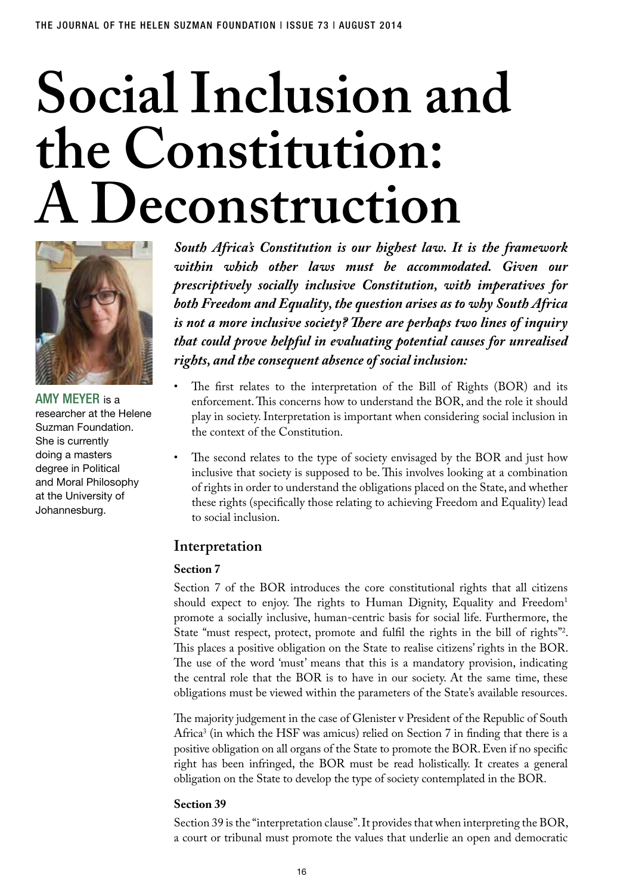# **Social Inclusion and the Constitution: A Deconstruction**



Amy Meyer is a researcher at the Helene Suzman Foundation. She is currently doing a masters degree in Political and Moral Philosophy at the University of Johannesburg.

*South Africa's Constitution is our highest law. It is the framework within which other laws must be accommodated. Given our prescriptively socially inclusive Constitution, with imperatives for both Freedom and Equality, the question arises as to why South Africa is not a more inclusive society? There are perhaps two lines of inquiry that could prove helpful in evaluating potential causes for unrealised rights, and the consequent absence of social inclusion:*

- The first relates to the interpretation of the Bill of Rights (BOR) and its enforcement. This concerns how to understand the BOR, and the role it should play in society. Interpretation is important when considering social inclusion in the context of the Constitution.
- The second relates to the type of society envisaged by the BOR and just how inclusive that society is supposed to be. This involves looking at a combination of rights in order to understand the obligations placed on the State, and whether these rights (specifically those relating to achieving Freedom and Equality) lead to social inclusion.

## **Interpretation**

#### **Section 7**

Section 7 of the BOR introduces the core constitutional rights that all citizens should expect to enjoy. The rights to Human Dignity, Equality and Freedom<sup>1</sup> promote a socially inclusive, human-centric basis for social life. Furthermore, the State "must respect, protect, promote and fulfil the rights in the bill of rights"<sup>2</sup>. This places a positive obligation on the State to realise citizens' rights in the BOR. The use of the word 'must' means that this is a mandatory provision, indicating the central role that the BOR is to have in our society. At the same time, these obligations must be viewed within the parameters of the State's available resources.

The majority judgement in the case of Glenister v President of the Republic of South Africa<sup>3</sup> (in which the HSF was amicus) relied on Section 7 in finding that there is a positive obligation on all organs of the State to promote the BOR. Even if no specific right has been infringed, the BOR must be read holistically. It creates a general obligation on the State to develop the type of society contemplated in the BOR.

#### **Section 39**

Section 39 is the "interpretation clause". It provides that when interpreting the BOR, a court or tribunal must promote the values that underlie an open and democratic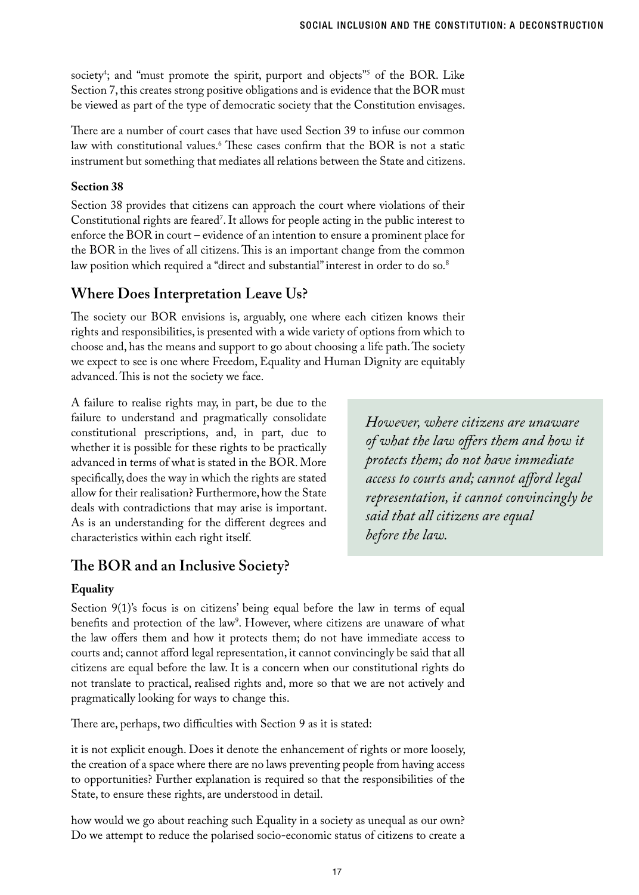society<sup>4</sup>; and "must promote the spirit, purport and objects"<sup>5</sup> of the BOR. Like Section 7, this creates strong positive obligations and is evidence that the BOR must be viewed as part of the type of democratic society that the Constitution envisages.

There are a number of court cases that have used Section 39 to infuse our common law with constitutional values.<sup>8</sup> These cases confirm that the BOR is not a static instrument but something that mediates all relations between the State and citizens.

#### **Section 38**

Section 38 provides that citizens can approach the court where violations of their Constitutional rights are feared'. It allows for people acting in the public interest to enforce the BOR in court – evidence of an intention to ensure a prominent place for the BOR in the lives of all citizens. This is an important change from the common law position which required a "direct and substantial" interest in order to do so.<sup>8</sup>

## **Where Does Interpretation Leave Us?**

The society our BOR envisions is, arguably, one where each citizen knows their rights and responsibilities, is presented with a wide variety of options from which to choose and, has the means and support to go about choosing a life path. The society we expect to see is one where Freedom, Equality and Human Dignity are equitably advanced. This is not the society we face.

A failure to realise rights may, in part, be due to the failure to understand and pragmatically consolidate constitutional prescriptions, and, in part, due to whether it is possible for these rights to be practically advanced in terms of what is stated in the BOR. More specifically, does the way in which the rights are stated allow for their realisation? Furthermore, how the State deals with contradictions that may arise is important. As is an understanding for the different degrees and characteristics within each right itself.

*However, where citizens are unaware of what the law offers them and how it protects them; do not have immediate access to courts and; cannot afford legal representation, it cannot convincingly be said that all citizens are equal before the law.* 

## **The BOR and an Inclusive Society?**

#### **Equality**

Section 9(1)'s focus is on citizens' being equal before the law in terms of equal benefits and protection of the law<sup>9</sup>. However, where citizens are unaware of what the law offers them and how it protects them; do not have immediate access to courts and; cannot afford legal representation, it cannot convincingly be said that all citizens are equal before the law. It is a concern when our constitutional rights do not translate to practical, realised rights and, more so that we are not actively and pragmatically looking for ways to change this.

There are, perhaps, two difficulties with Section 9 as it is stated:

it is not explicit enough. Does it denote the enhancement of rights or more loosely, the creation of a space where there are no laws preventing people from having access to opportunities? Further explanation is required so that the responsibilities of the State, to ensure these rights, are understood in detail.

how would we go about reaching such Equality in a society as unequal as our own? Do we attempt to reduce the polarised socio-economic status of citizens to create a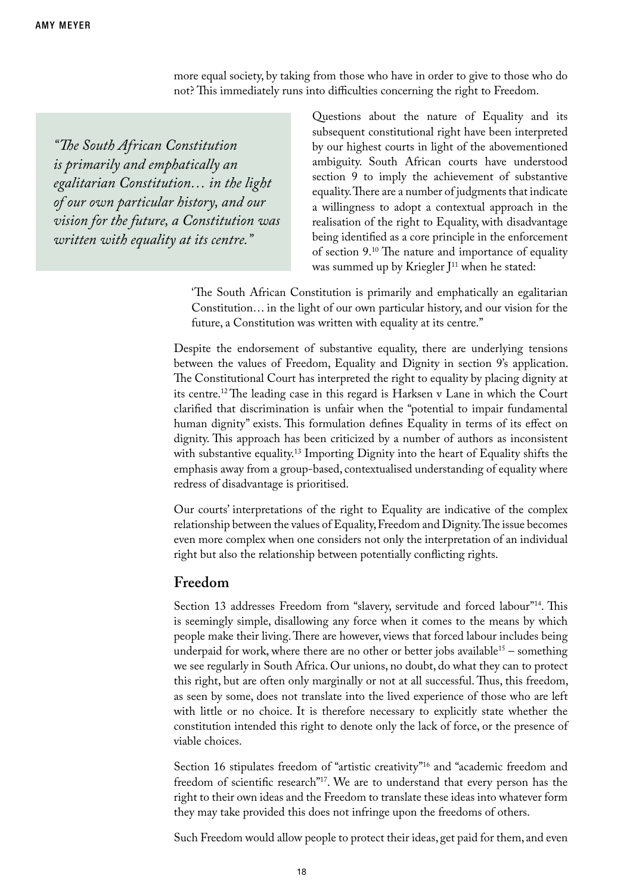more equal society, by taking from those who have in order to give to those who do not? This immediately runs into difficulties concerning the right to Freedom.

*"The South African Constitution is primarily and emphatically an egalitarian Constitution… in the light of our own particular history, and our vision for the future, a Constitution was written with equality at its centre."*

Questions about the nature of Equality and its subsequent constitutional right have been interpreted by our highest courts in light of the abovementioned ambiguity. South African courts have understood section 9 to imply the achievement of substantive equality. There are a number of judgments that indicate a willingness to adopt a contextual approach in the realisation of the right to Equality, with disadvantage being identified as a core principle in the enforcement of section 9.10 The nature and importance of equality was summed up by Kriegler  $J<sup>11</sup>$  when he stated:

'The South African Constitution is primarily and emphatically an egalitarian Constitution… in the light of our own particular history, and our vision for the future, a Constitution was written with equality at its centre."

Despite the endorsement of substantive equality, there are underlying tensions between the values of Freedom, Equality and Dignity in section 9's application. The Constitutional Court has interpreted the right to equality by placing dignity at its centre.12 The leading case in this regard is Harksen v Lane in which the Court clarified that discrimination is unfair when the "potential to impair fundamental human dignity" exists. This formulation defines Equality in terms of its effect on dignity. This approach has been criticized by a number of authors as inconsistent with substantive equality.<sup>13</sup> Importing Dignity into the heart of Equality shifts the emphasis away from a group-based, contextualised understanding of equality where redress of disadvantage is prioritised.

Our courts' interpretations of the right to Equality are indicative of the complex relationship between the values of Equality, Freedom and Dignity. The issue becomes even more complex when one considers not only the interpretation of an individual right but also the relationship between potentially conflicting rights.

## **Freedom**

Section 13 addresses Freedom from "slavery, servitude and forced labour"<sup>14</sup>. This is seemingly simple, disallowing any force when it comes to the means by which people make their living. There are however, views that forced labour includes being underpaid for work, where there are no other or better jobs available<sup>15</sup> – something we see regularly in South Africa. Our unions, no doubt, do what they can to protect this right, but are often only marginally or not at all successful. Thus, this freedom, as seen by some, does not translate into the lived experience of those who are left with little or no choice. It is therefore necessary to explicitly state whether the constitution intended this right to denote only the lack of force, or the presence of viable choices.

Section 16 stipulates freedom of "artistic creativity"<sup>16</sup> and "academic freedom and freedom of scientific research"<sup>17</sup>. We are to understand that every person has the right to their own ideas and the Freedom to translate these ideas into whatever form they may take provided this does not infringe upon the freedoms of others.

Such Freedom would allow people to protect their ideas, get paid for them, and even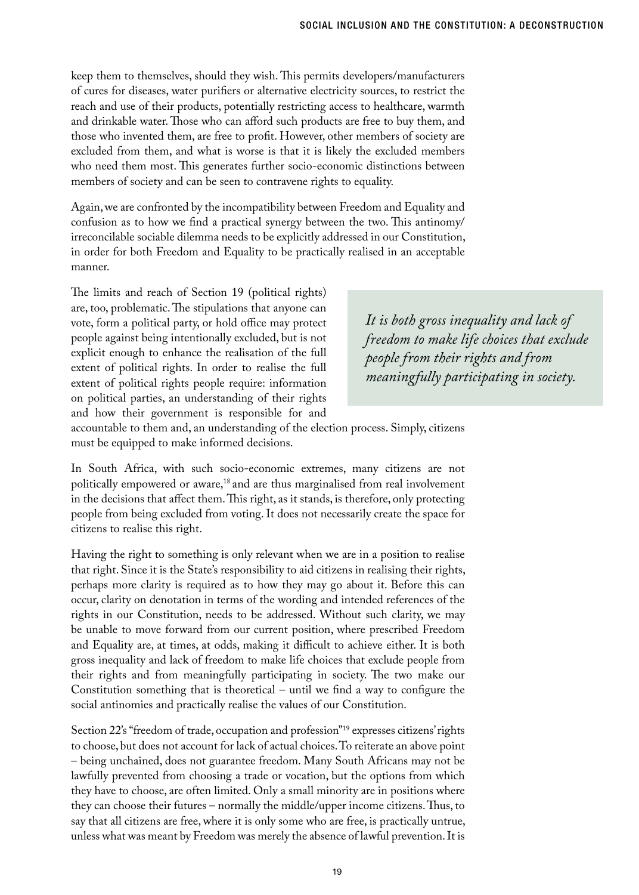keep them to themselves, should they wish. This permits developers/manufacturers of cures for diseases, water purifiers or alternative electricity sources, to restrict the reach and use of their products, potentially restricting access to healthcare, warmth and drinkable water. Those who can afford such products are free to buy them, and those who invented them, are free to profit. However, other members of society are excluded from them, and what is worse is that it is likely the excluded members who need them most. This generates further socio-economic distinctions between members of society and can be seen to contravene rights to equality.

Again, we are confronted by the incompatibility between Freedom and Equality and confusion as to how we find a practical synergy between the two. This antinomy/ irreconcilable sociable dilemma needs to be explicitly addressed in our Constitution, in order for both Freedom and Equality to be practically realised in an acceptable manner.

The limits and reach of Section 19 (political rights) are, too, problematic. The stipulations that anyone can vote, form a political party, or hold office may protect people against being intentionally excluded, but is not explicit enough to enhance the realisation of the full extent of political rights. In order to realise the full extent of political rights people require: information on political parties, an understanding of their rights and how their government is responsible for and

*It is both gross inequality and lack of freedom to make life choices that exclude people from their rights and from meaningfully participating in society.* 

accountable to them and, an understanding of the election process. Simply, citizens must be equipped to make informed decisions.

In South Africa, with such socio-economic extremes, many citizens are not politically empowered or aware,<sup>18</sup> and are thus marginalised from real involvement in the decisions that affect them. This right, as it stands, is therefore, only protecting people from being excluded from voting. It does not necessarily create the space for citizens to realise this right.

Having the right to something is only relevant when we are in a position to realise that right. Since it is the State's responsibility to aid citizens in realising their rights, perhaps more clarity is required as to how they may go about it. Before this can occur, clarity on denotation in terms of the wording and intended references of the rights in our Constitution, needs to be addressed. Without such clarity, we may be unable to move forward from our current position, where prescribed Freedom and Equality are, at times, at odds, making it difficult to achieve either. It is both gross inequality and lack of freedom to make life choices that exclude people from their rights and from meaningfully participating in society. The two make our Constitution something that is theoretical – until we find a way to configure the social antinomies and practically realise the values of our Constitution.

Section 22's "freedom of trade, occupation and profession"19 expresses citizens' rights to choose, but does not account for lack of actual choices. To reiterate an above point – being unchained, does not guarantee freedom. Many South Africans may not be lawfully prevented from choosing a trade or vocation, but the options from which they have to choose, are often limited. Only a small minority are in positions where they can choose their futures – normally the middle/upper income citizens. Thus, to say that all citizens are free, where it is only some who are free, is practically untrue, unless what was meant by Freedom was merely the absence of lawful prevention. It is